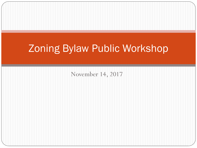# Zoning Bylaw Public Workshop

November 14, 2017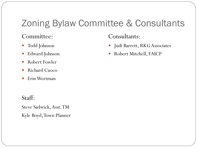## Zoning Bylaw Committee & Consultants

#### Committee:

- Todd Johnson
- Edward Johnson
- Robert Fowler
- Richard Cuoco
- Erin Wortman

#### Staff:

Steve Sadwick, Asst. TM Kyle Boyd, Town Planner

#### Consultants:

- Judi Barrett, RKG Associates
- Robert Mitchell, FAICP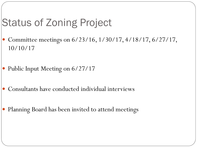# Status of Zoning Project

- Committee meetings on 6/23/16, 1/30/17, 4/18/17, 6/27/17, 10/10/17
- Public Input Meeting on 6/27/17
- Consultants have conducted individual interviews
- Planning Board has been invited to attend meetings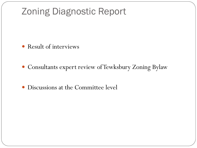### Zoning Diagnostic Report

- Result of interviews
- Consultants expert review of Tewksbury Zoning Bylaw
- Discussions at the Committee level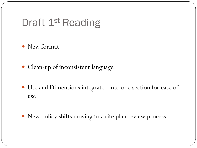## Draft 1<sup>st</sup> Reading

- New format
- Clean-up of inconsistent language
- Use and Dimensions integrated into one section for ease of use
- New policy shifts moving to a site plan review process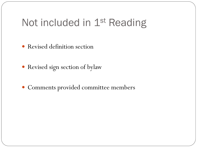# Not included in 1<sup>st</sup> Reading

- Revised definition section
- Revised sign section of bylaw
- Comments provided committee members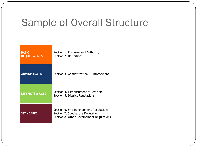## Sample of Overall Structure

| <b>BASIC</b><br><b>REQUIREMENTS</b> | Section 1. Purposes and Authority<br>Section 2. Definitions                                                               |
|-------------------------------------|---------------------------------------------------------------------------------------------------------------------------|
| <b>ADMINISTRATIVE</b>               | Section 3. Administration & Enforcement                                                                                   |
| <b>DISTRICTS &amp; USES</b>         | Section 4. Establishment of Districts<br>Section 5. District Regulations                                                  |
| <b>STANDARDS</b>                    | Section 6. Site Development Regulations<br>Section 7. Special Use Regulations<br>Section 8. Other Development Regulations |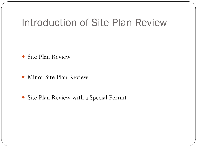### Introduction of Site Plan Review

- Site Plan Review
- Minor Site Plan Review
- Site Plan Review with a Special Permit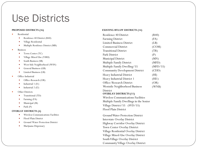### Use Districts

#### **PROPOSED DISTRICTS (16)**

- Residential
	- Residence 40 District (R40)
	- Village Residential
	- Multiple Residence District (MR)
- Business
	- Town Center (TC)
	- Village Mixed Use (VMU)
	- South Business (SB)
	- West Side Neighborhood (WSN)
	- General Business (GB)
	- Limited Business (LB)
- Office-Industrial
	- Office-Research (OR)
	- Industrial 1 (I1)
	- Industrial 2 (I2)
- Other Districts
	- Transitional (TD)
	- Farming (FA)
	- Municipal (M)
	- Park  $(P)$

#### **OVERLAY DISTRICTS (4)**

- Wireless Communications Facilities
- Flood Plain District
- **•** Ground Water Protection District
- Marijuana Dispensary

#### **EXISTING BYLAW DISTRICTS (14)**

| Residence 40 District                     | (R40)    |
|-------------------------------------------|----------|
| Farming District                          | (FA)     |
| <b>Limited Business District</b>          | (LB)     |
| <b>Commercial District</b>                | (COM)    |
| Transitional District                     | (TR)     |
| Park District                             | (P)      |
| <b>Municipal District</b>                 | (MN)     |
| Multiple Family District                  | (MFD)    |
| Multiple Family Dwelling/55               | (MFD/55) |
| <b>Community Development District</b>     | (CDD)    |
| Heavy Industrial District                 | (HI)     |
| Heavy Industrial District 1               | (HI1)    |
| Office/Research District                  | (OR)     |
| Westside Neighborhood Business            | (WNB)    |
| District                                  |          |
| <b>OVERLAY DISTRICTS (11)</b>             |          |
| <b>Wireless Communications Facilities</b> |          |

Multiple Family Dwellings in the Senior Village District/55 (SVD/55) Flood Plain District

Ground Water Protection District Interstate Overlay District Highway Corridor Overlay District Town Center Overlay District Village Residential Overlay District Village Mixed -Use Overlay District South Village Overlay District Community Village Overlay District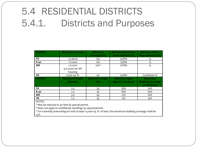# 5.4 RESIDENTIAL DISTRICTS 5.4.1. Districts and Purposes

| <b>DISTRICT</b> | <b>Minimum Lot Area</b>                 | <b>Minimum</b><br>Frontage (Ft) | Minimum/Maximum<br><b>Front Setback (Ft)</b> | Minimum Side &<br><b>Rear Setbacks (Ft)</b>                |
|-----------------|-----------------------------------------|---------------------------------|----------------------------------------------|------------------------------------------------------------|
| FA              | 1.5 acres                               | 150                             | 50/NA                                        | 15                                                         |
| <b>R-40</b>     | 1.0 acre                                | 150                             | 25/NA                                        | 15                                                         |
| <b>MR</b>       | 1.0 acre<br>4.0 acres for MF<br>housing | 150 <sup>A</sup>                | $25^BNA$                                     | 15                                                         |
| VR              | 7,500 sq. ft.                           | 50                              | 20/NA                                        | Combined 10                                                |
| <b>DISTRICT</b> | <b>Maximum Height</b><br>(Stories)      | <b>Maximum Height</b><br>(Ft)   | <b>Minimum Open</b><br>Space (% Lot Area)    | <b>Maximum</b><br><b>Building Coverage</b><br>(% Lot Area) |
| FA              | 2.5                                     | 35                              | N/A                                          | 20%                                                        |
| <b>R-40</b>     | 2.5                                     | 35                              | N/A                                          | 15%C                                                       |
| <b>MR</b>       | 3.0                                     | 45                              | 20%                                          | N/A                                                        |
| <b>VR</b>       | 2.5                                     | 35                              | 15%                                          | 30%                                                        |
| $N$ $\cap$ TFC. |                                         |                                 |                                              |                                                            |

NOTES:

<sup>A</sup> May be reduced to 40 feet by special permit.

 $B$  Does not apply to multifamily dwellings by special permit.

 $C$  For a lawfully preexisting lot with at least 15,000 sq. ft. of land, the maximum building coverage shall be 20%.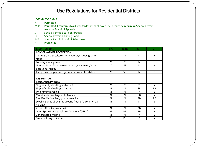#### Use Regulations for Residential Districts

#### LEGEND FOR TABLE

Y Permitted

Y/SP Permitted if conforms to all standards for the allowed use; otherwise requires a Special Permit from the Board of Appeals

SP Special Permit, Board of Appeals<br>PB Special Permit, Planning Board

PB Special Permit, Planning Board<br>BOS Special Permit, Board of Selecti

Special Permit, Board of Selectmen

N Prohibited

| <b>CLASS OF USE</b>                                    | FA        | $R-40$    | ΜR        | VR |
|--------------------------------------------------------|-----------|-----------|-----------|----|
| <b>CONSERVATION, RECREATION</b>                        |           |           |           |    |
| Commercial agriculture, non-exempt, including farm     | Y         | N         | N         | N  |
| stand                                                  |           |           |           |    |
| Forestry management                                    | Y         | Y         | N         | N  |
| Non-profit outdoor recreation, e.g., swimming, hiking, | Υ         | <b>SP</b> | N         | N  |
| picnicking, fishing                                    |           |           |           |    |
| Camp, day camp only, e.g., summer camp for children    | Y         | <b>SP</b> | N         | N  |
|                                                        |           |           |           |    |
| <b>RESIDENTIAL</b>                                     |           |           |           |    |
| <b>Residential: Principal</b>                          |           |           |           |    |
| Single-family dwelling, detached                       | Y         | Y         | Y         | Y  |
| Single-family dwelling, attached                       | N         | N         | <b>SP</b> | PB |
| Two-family dwelling                                    | N         | N         | Y         | Y  |
| Multifamily dwelling, up to 8 units                    | N         | N         | PB        | Y  |
| Multifamily dwelling, 9 or more units                  | N         | N         | PB        | PB |
| Dwelling units above the ground floor of a commercial  | N         | N         | N         | Υ  |
| building                                               |           |           |           |    |
| Artist loft or live/work units                         | N         | N         | <b>PB</b> | Y  |
| Open Space Residential Development (OSRD)              | <b>PB</b> | PB        | <b>PB</b> | N  |
| Congregate dwelling                                    | N         | N         | Y         | Y  |
| Assisted living residence                              | <b>PB</b> | PB        | Y         | Υ  |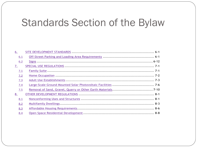## Standards Section of the Bylaw

| 6.        |  |
|-----------|--|
| 6.1       |  |
| 6.2       |  |
| <u>7.</u> |  |
| 7.1       |  |
| 7.2       |  |
| 7.3       |  |
| 7.4       |  |
| 7.5       |  |
| 8.        |  |
| 8.1       |  |
| 8.2       |  |
| 8.3       |  |
| 8.4       |  |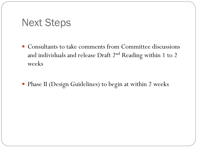#### Next Steps

- Consultants to take comments from Committee discussions and individuals and release Draft 2<sup>nd</sup> Reading within 1 to 2 weeks
- Phase II (Design Guidelines) to begin at within 2 weeks